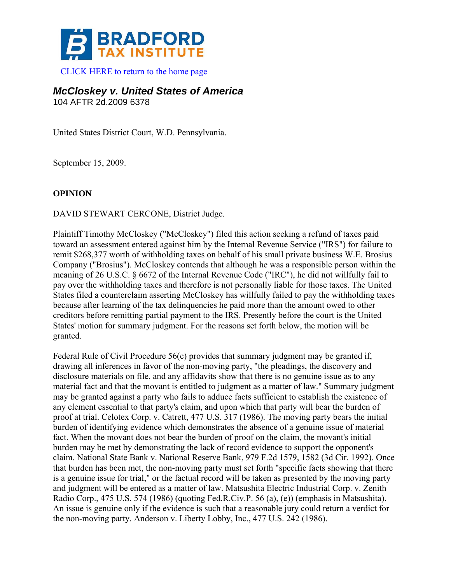

[CLICK HERE to return to the home page](http://bradfordtaxinstitute.com/) 

*McCloskey v. United States of America*  104 AFTR 2d.2009 6378

United States District Court, W.D. Pennsylvania.

September 15, 2009.

## **OPINION**

DAVID STEWART CERCONE, District Judge.

Plaintiff Timothy McCloskey ("McCloskey") filed this action seeking a refund of taxes paid toward an assessment entered against him by the Internal Revenue Service ("IRS") for failure to remit \$268,377 worth of withholding taxes on behalf of his small private business W.E. Brosius Company ("Brosius"). McCloskey contends that although he was a responsible person within the meaning of 26 U.S.C. § 6672 of the Internal Revenue Code ("IRC"), he did not willfully fail to pay over the withholding taxes and therefore is not personally liable for those taxes. The United States filed a counterclaim asserting McCloskey has willfully failed to pay the withholding taxes because after learning of the tax delinquencies he paid more than the amount owed to other creditors before remitting partial payment to the IRS. Presently before the court is the United States' motion for summary judgment. For the reasons set forth below, the motion will be granted.

Federal Rule of Civil Procedure 56(c) provides that summary judgment may be granted if, drawing all inferences in favor of the non-moving party, "the pleadings, the discovery and disclosure materials on file, and any affidavits show that there is no genuine issue as to any material fact and that the movant is entitled to judgment as a matter of law." Summary judgment may be granted against a party who fails to adduce facts sufficient to establish the existence of any element essential to that party's claim, and upon which that party will bear the burden of proof at trial. Celotex Corp. v. Catrett, 477 U.S. 317 (1986). The moving party bears the initial burden of identifying evidence which demonstrates the absence of a genuine issue of material fact. When the movant does not bear the burden of proof on the claim, the movant's initial burden may be met by demonstrating the lack of record evidence to support the opponent's claim. National State Bank v. National Reserve Bank, 979 F.2d 1579, 1582 (3d Cir. 1992). Once that burden has been met, the non-moving party must set forth "specific facts showing that there is a genuine issue for trial," or the factual record will be taken as presented by the moving party and judgment will be entered as a matter of law. Matsushita Electric Industrial Corp. v. Zenith Radio Corp., 475 U.S. 574 (1986) (quoting Fed.R.Civ.P. 56 (a), (e)) (emphasis in Matsushita). An issue is genuine only if the evidence is such that a reasonable jury could return a verdict for the non-moving party. Anderson v. Liberty Lobby, Inc., 477 U.S. 242 (1986).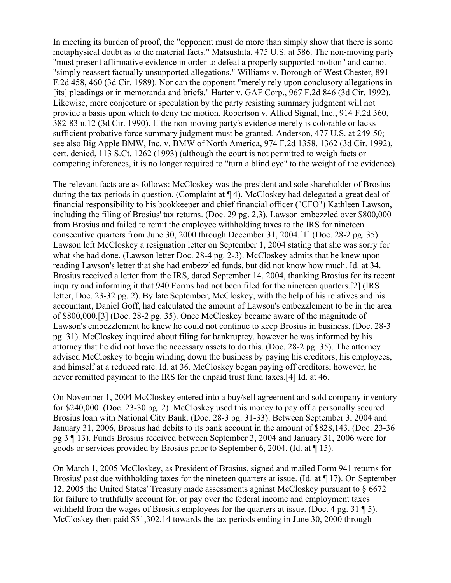In meeting its burden of proof, the "opponent must do more than simply show that there is some metaphysical doubt as to the material facts." Matsushita, 475 U.S. at 586. The non-moving party "must present affirmative evidence in order to defeat a properly supported motion" and cannot "simply reassert factually unsupported allegations." Williams v. Borough of West Chester, 891 F.2d 458, 460 (3d Cir. 1989). Nor can the opponent "merely rely upon conclusory allegations in [its] pleadings or in memoranda and briefs." Harter v. GAF Corp., 967 F.2d 846 (3d Cir. 1992). Likewise, mere conjecture or speculation by the party resisting summary judgment will not provide a basis upon which to deny the motion. Robertson v. Allied Signal, Inc., 914 F.2d 360, 382-83 n.12 (3d Cir. 1990). If the non-moving party's evidence merely is colorable or lacks sufficient probative force summary judgment must be granted. Anderson, 477 U.S. at 249-50; see also Big Apple BMW, Inc. v. BMW of North America, 974 F.2d 1358, 1362 (3d Cir. 1992), cert. denied, 113 S.Ct. 1262 (1993) (although the court is not permitted to weigh facts or competing inferences, it is no longer required to "turn a blind eye" to the weight of the evidence).

The relevant facts are as follows: McCloskey was the president and sole shareholder of Brosius during the tax periods in question. (Complaint at  $\P$ 4). McCloskey had delegated a great deal of financial responsibility to his bookkeeper and chief financial officer ("CFO") Kathleen Lawson, including the filing of Brosius' tax returns. (Doc. 29 pg. 2,3). Lawson embezzled over \$800,000 from Brosius and failed to remit the employee withholding taxes to the IRS for nineteen consecutive quarters from June 30, 2000 through December 31, 2004.[1] (Doc. 28-2 pg. 35). Lawson left McCloskey a resignation letter on September 1, 2004 stating that she was sorry for what she had done. (Lawson letter Doc. 28-4 pg. 2-3). McCloskey admits that he knew upon reading Lawson's letter that she had embezzled funds, but did not know how much. Id. at 34. Brosius received a letter from the IRS, dated September 14, 2004, thanking Brosius for its recent inquiry and informing it that 940 Forms had not been filed for the nineteen quarters.[2] (IRS letter, Doc. 23-32 pg. 2). By late September, McCloskey, with the help of his relatives and his accountant, Daniel Goff, had calculated the amount of Lawson's embezzlement to be in the area of \$800,000.[3] (Doc. 28-2 pg. 35). Once McCloskey became aware of the magnitude of Lawson's embezzlement he knew he could not continue to keep Brosius in business. (Doc. 28-3 pg. 31). McCloskey inquired about filing for bankruptcy, however he was informed by his attorney that he did not have the necessary assets to do this. (Doc. 28-2 pg. 35). The attorney advised McCloskey to begin winding down the business by paying his creditors, his employees, and himself at a reduced rate. Id. at 36. McCloskey began paying off creditors; however, he never remitted payment to the IRS for the unpaid trust fund taxes.[4] Id. at 46.

On November 1, 2004 McCloskey entered into a buy/sell agreement and sold company inventory for \$240,000. (Doc. 23-30 pg. 2). McCloskey used this money to pay off a personally secured Brosius loan with National City Bank. (Doc. 28-3 pg. 31-33). Between September 3, 2004 and January 31, 2006, Brosius had debits to its bank account in the amount of \$828,143. (Doc. 23-36 pg 3 ¶ 13). Funds Brosius received between September 3, 2004 and January 31, 2006 were for goods or services provided by Brosius prior to September 6, 2004. (Id. at  $\P$  15).

On March 1, 2005 McCloskey, as President of Brosius, signed and mailed Form 941 returns for Brosius' past due withholding taxes for the nineteen quarters at issue. (Id. at ¶ 17). On September 12, 2005 the United States' Treasury made assessments against McCloskey pursuant to § 6672 for failure to truthfully account for, or pay over the federal income and employment taxes withheld from the wages of Brosius employees for the quarters at issue. (Doc. 4 pg. 31 ¶ 5). McCloskey then paid \$51,302.14 towards the tax periods ending in June 30, 2000 through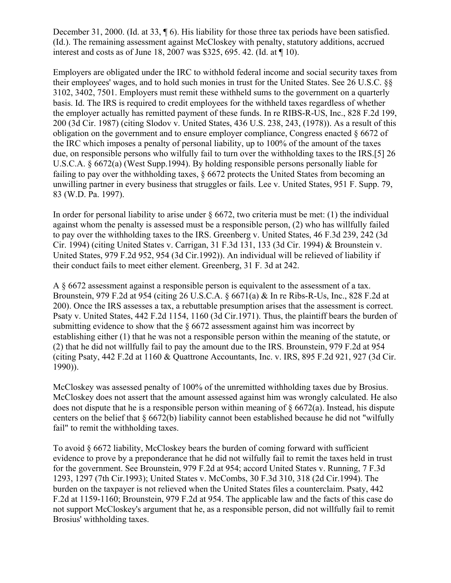December 31, 2000. (Id. at 33, ¶ 6). His liability for those three tax periods have been satisfied. (Id.). The remaining assessment against McCloskey with penalty, statutory additions, accrued interest and costs as of June 18, 2007 was \$325, 695. 42. (Id. at ¶ 10).

Employers are obligated under the IRC to withhold federal income and social security taxes from their employees' wages, and to hold such monies in trust for the United States. See 26 U.S.C. §§ 3102, 3402, 7501. Employers must remit these withheld sums to the government on a quarterly basis. Id. The IRS is required to credit employees for the withheld taxes regardless of whether the employer actually has remitted payment of these funds. In re RIBS-R-US, Inc., 828 F.2d 199, 200 (3d Cir. 1987) (citing Slodov v. United States, 436 U.S. 238, 243, (1978)). As a result of this obligation on the government and to ensure employer compliance, Congress enacted § 6672 of the IRC which imposes a penalty of personal liability, up to 100% of the amount of the taxes due, on responsible persons who wilfully fail to turn over the withholding taxes to the IRS.[5] 26 U.S.C.A. § 6672(a) (West Supp.1994). By holding responsible persons personally liable for failing to pay over the withholding taxes, § 6672 protects the United States from becoming an unwilling partner in every business that struggles or fails. Lee v. United States, 951 F. Supp. 79, 83 (W.D. Pa. 1997).

In order for personal liability to arise under  $\S$  6672, two criteria must be met: (1) the individual against whom the penalty is assessed must be a responsible person, (2) who has willfully failed to pay over the withholding taxes to the IRS. Greenberg v. United States, 46 F.3d 239, 242 (3d Cir. 1994) (citing United States v. Carrigan, 31 F.3d 131, 133 (3d Cir. 1994) & Brounstein v. United States, 979 F.2d 952, 954 (3d Cir.1992)). An individual will be relieved of liability if their conduct fails to meet either element. Greenberg, 31 F. 3d at 242.

A § 6672 assessment against a responsible person is equivalent to the assessment of a tax. Brounstein, 979 F.2d at 954 (citing 26 U.S.C.A. § 6671(a) & In re Ribs-R-Us, Inc., 828 F.2d at 200). Once the IRS assesses a tax, a rebuttable presumption arises that the assessment is correct. Psaty v. United States, 442 F.2d 1154, 1160 (3d Cir.1971). Thus, the plaintiff bears the burden of submitting evidence to show that the § 6672 assessment against him was incorrect by establishing either (1) that he was not a responsible person within the meaning of the statute, or (2) that he did not willfully fail to pay the amount due to the IRS. Brounstein, 979 F.2d at 954 (citing Psaty, 442 F.2d at 1160 & Quattrone Accountants, Inc. v. IRS, 895 F.2d 921, 927 (3d Cir. 1990)).

McCloskey was assessed penalty of 100% of the unremitted withholding taxes due by Brosius. McCloskey does not assert that the amount assessed against him was wrongly calculated. He also does not dispute that he is a responsible person within meaning of  $\S 6672(a)$ . Instead, his dispute centers on the belief that § 6672(b) liability cannot been established because he did not "wilfully fail" to remit the withholding taxes.

To avoid § 6672 liability, McCloskey bears the burden of coming forward with sufficient evidence to prove by a preponderance that he did not wilfully fail to remit the taxes held in trust for the government. See Brounstein, 979 F.2d at 954; accord United States v. Running, 7 F.3d 1293, 1297 (7th Cir.1993); United States v. McCombs, 30 F.3d 310, 318 (2d Cir.1994). The burden on the taxpayer is not relieved when the United States files a counterclaim. Psaty, 442 F.2d at 1159-1160; Brounstein, 979 F.2d at 954. The applicable law and the facts of this case do not support McCloskey's argument that he, as a responsible person, did not willfully fail to remit Brosius' withholding taxes.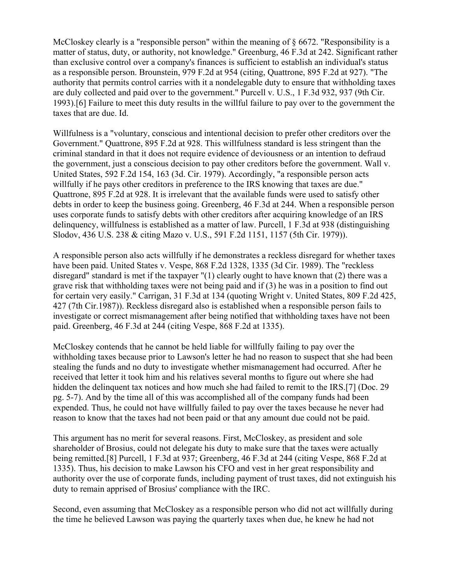McCloskey clearly is a "responsible person" within the meaning of  $\S$  6672. "Responsibility is a matter of status, duty, or authority, not knowledge." Greenburg, 46 F.3d at 242. Significant rather than exclusive control over a company's finances is sufficient to establish an individual's status as a responsible person. Brounstein, 979 F.2d at 954 (citing, Quattrone, 895 F.2d at 927). "The authority that permits control carries with it a nondelegable duty to ensure that withholding taxes are duly collected and paid over to the government." Purcell v. U.S., 1 F.3d 932, 937 (9th Cir. 1993).[6] Failure to meet this duty results in the willful failure to pay over to the government the taxes that are due. Id.

Willfulness is a "voluntary, conscious and intentional decision to prefer other creditors over the Government." Quattrone, 895 F.2d at 928. This willfulness standard is less stringent than the criminal standard in that it does not require evidence of deviousness or an intention to defraud the government, just a conscious decision to pay other creditors before the government. Wall v. United States, 592 F.2d 154, 163 (3d. Cir. 1979). Accordingly, "a responsible person acts willfully if he pays other creditors in preference to the IRS knowing that taxes are due." Quattrone, 895 F.2d at 928. It is irrelevant that the available funds were used to satisfy other debts in order to keep the business going. Greenberg, 46 F.3d at 244. When a responsible person uses corporate funds to satisfy debts with other creditors after acquiring knowledge of an IRS delinquency, willfulness is established as a matter of law. Purcell, 1 F.3d at 938 (distinguishing Slodov, 436 U.S. 238 & citing Mazo v. U.S., 591 F.2d 1151, 1157 (5th Cir. 1979)).

A responsible person also acts willfully if he demonstrates a reckless disregard for whether taxes have been paid. United States v. Vespe, 868 F.2d 1328, 1335 (3d Cir. 1989). The "reckless disregard" standard is met if the taxpayer "(1) clearly ought to have known that (2) there was a grave risk that withholding taxes were not being paid and if (3) he was in a position to find out for certain very easily." Carrigan, 31 F.3d at 134 (quoting Wright v. United States, 809 F.2d 425, 427 (7th Cir.1987)). Reckless disregard also is established when a responsible person fails to investigate or correct mismanagement after being notified that withholding taxes have not been paid. Greenberg, 46 F.3d at 244 (citing Vespe, 868 F.2d at 1335).

McCloskey contends that he cannot be held liable for willfully failing to pay over the withholding taxes because prior to Lawson's letter he had no reason to suspect that she had been stealing the funds and no duty to investigate whether mismanagement had occurred. After he received that letter it took him and his relatives several months to figure out where she had hidden the delinquent tax notices and how much she had failed to remit to the IRS.[7] (Doc. 29 pg. 5-7). And by the time all of this was accomplished all of the company funds had been expended. Thus, he could not have willfully failed to pay over the taxes because he never had reason to know that the taxes had not been paid or that any amount due could not be paid.

This argument has no merit for several reasons. First, McCloskey, as president and sole shareholder of Brosius, could not delegate his duty to make sure that the taxes were actually being remitted.[8] Purcell, 1 F.3d at 937; Greenberg, 46 F.3d at 244 (citing Vespe, 868 F.2d at 1335). Thus, his decision to make Lawson his CFO and vest in her great responsibility and authority over the use of corporate funds, including payment of trust taxes, did not extinguish his duty to remain apprised of Brosius' compliance with the IRC.

Second, even assuming that McCloskey as a responsible person who did not act willfully during the time he believed Lawson was paying the quarterly taxes when due, he knew he had not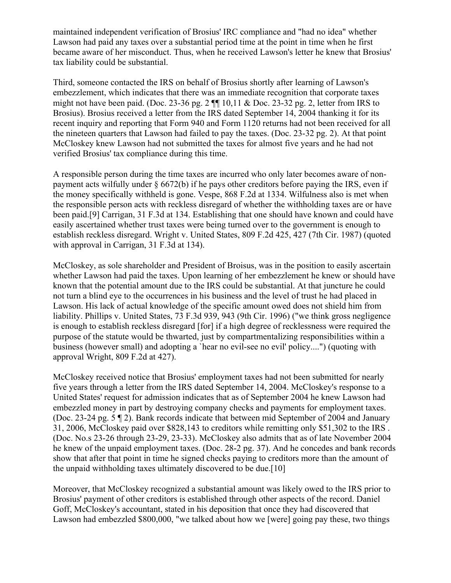maintained independent verification of Brosius' IRC compliance and "had no idea" whether Lawson had paid any taxes over a substantial period time at the point in time when he first became aware of her misconduct. Thus, when he received Lawson's letter he knew that Brosius' tax liability could be substantial.

Third, someone contacted the IRS on behalf of Brosius shortly after learning of Lawson's embezzlement, which indicates that there was an immediate recognition that corporate taxes might not have been paid. (Doc. 23-36 pg. 2 ¶¶ 10,11 & Doc. 23-32 pg. 2, letter from IRS to Brosius). Brosius received a letter from the IRS dated September 14, 2004 thanking it for its recent inquiry and reporting that Form 940 and Form 1120 returns had not been received for all the nineteen quarters that Lawson had failed to pay the taxes. (Doc. 23-32 pg. 2). At that point McCloskey knew Lawson had not submitted the taxes for almost five years and he had not verified Brosius' tax compliance during this time.

A responsible person during the time taxes are incurred who only later becomes aware of nonpayment acts wilfully under  $\S 6672(b)$  if he pays other creditors before paying the IRS, even if the money specifically withheld is gone. Vespe, 868 F.2d at 1334. Wilfulness also is met when the responsible person acts with reckless disregard of whether the withholding taxes are or have been paid.[9] Carrigan, 31 F.3d at 134. Establishing that one should have known and could have easily ascertained whether trust taxes were being turned over to the government is enough to establish reckless disregard. Wright v. United States, 809 F.2d 425, 427 (7th Cir. 1987) (quoted with approval in Carrigan, 31 F.3d at 134).

McCloskey, as sole shareholder and President of Broisus, was in the position to easily ascertain whether Lawson had paid the taxes. Upon learning of her embezzlement he knew or should have known that the potential amount due to the IRS could be substantial. At that juncture he could not turn a blind eye to the occurrences in his business and the level of trust he had placed in Lawson. His lack of actual knowledge of the specific amount owed does not shield him from liability. Phillips v. United States, 73 F.3d 939, 943 (9th Cir. 1996) ("we think gross negligence is enough to establish reckless disregard [for] if a high degree of recklessness were required the purpose of the statute would be thwarted, just by compartmentalizing responsibilities within a business (however small) and adopting a `hear no evil-see no evil' policy....") (quoting with approval Wright, 809 F.2d at 427).

McCloskey received notice that Brosius' employment taxes had not been submitted for nearly five years through a letter from the IRS dated September 14, 2004. McCloskey's response to a United States' request for admission indicates that as of September 2004 he knew Lawson had embezzled money in part by destroying company checks and payments for employment taxes. (Doc. 23-24 pg. 5 ¶ 2). Bank records indicate that between mid September of 2004 and January 31, 2006, McCloskey paid over \$828,143 to creditors while remitting only \$51,302 to the IRS . (Doc. No.s 23-26 through 23-29, 23-33). McCloskey also admits that as of late November 2004 he knew of the unpaid employment taxes. (Doc. 28-2 pg. 37). And he concedes and bank records show that after that point in time he signed checks paying to creditors more than the amount of the unpaid withholding taxes ultimately discovered to be due.[10]

Moreover, that McCloskey recognized a substantial amount was likely owed to the IRS prior to Brosius' payment of other creditors is established through other aspects of the record. Daniel Goff, McCloskey's accountant, stated in his deposition that once they had discovered that Lawson had embezzled \$800,000, "we talked about how we [were] going pay these, two things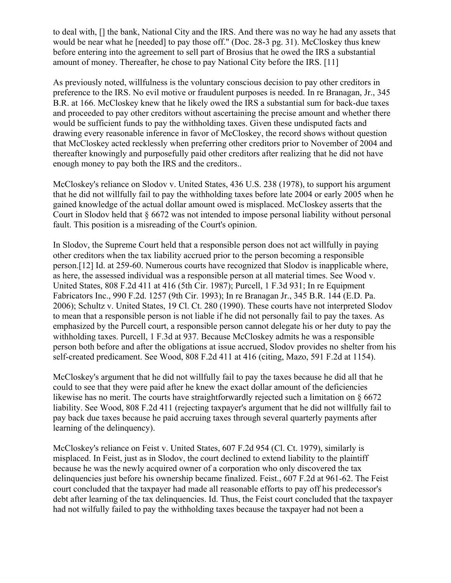to deal with, [] the bank, National City and the IRS. And there was no way he had any assets that would be near what he [needed] to pay those off." (Doc. 28-3 pg. 31). McCloskey thus knew before entering into the agreement to sell part of Brosius that he owed the IRS a substantial amount of money. Thereafter, he chose to pay National City before the IRS. [11]

As previously noted, willfulness is the voluntary conscious decision to pay other creditors in preference to the IRS. No evil motive or fraudulent purposes is needed. In re Branagan, Jr., 345 B.R. at 166. McCloskey knew that he likely owed the IRS a substantial sum for back-due taxes and proceeded to pay other creditors without ascertaining the precise amount and whether there would be sufficient funds to pay the withholding taxes. Given these undisputed facts and drawing every reasonable inference in favor of McCloskey, the record shows without question that McCloskey acted recklessly when preferring other creditors prior to November of 2004 and thereafter knowingly and purposefully paid other creditors after realizing that he did not have enough money to pay both the IRS and the creditors..

McCloskey's reliance on Slodov v. United States, 436 U.S. 238 (1978), to support his argument that he did not willfully fail to pay the withholding taxes before late 2004 or early 2005 when he gained knowledge of the actual dollar amount owed is misplaced. McCloskey asserts that the Court in Slodov held that § 6672 was not intended to impose personal liability without personal fault. This position is a misreading of the Court's opinion.

In Slodov, the Supreme Court held that a responsible person does not act willfully in paying other creditors when the tax liability accrued prior to the person becoming a responsible person.[12] Id. at 259-60. Numerous courts have recognized that Slodov is inapplicable where, as here, the assessed individual was a responsible person at all material times. See Wood v. United States, 808 F.2d 411 at 416 (5th Cir. 1987); Purcell, 1 F.3d 931; In re Equipment Fabricators Inc., 990 F.2d. 1257 (9th Cir. 1993); In re Branagan Jr., 345 B.R. 144 (E.D. Pa. 2006); Schultz v. United States, 19 Cl. Ct. 280 (1990). These courts have not interpreted Slodov to mean that a responsible person is not liable if he did not personally fail to pay the taxes. As emphasized by the Purcell court, a responsible person cannot delegate his or her duty to pay the withholding taxes. Purcell, 1 F.3d at 937. Because McCloskey admits he was a responsible person both before and after the obligations at issue accrued, Slodov provides no shelter from his self-created predicament. See Wood, 808 F.2d 411 at 416 (citing, Mazo, 591 F.2d at 1154).

McCloskey's argument that he did not willfully fail to pay the taxes because he did all that he could to see that they were paid after he knew the exact dollar amount of the deficiencies likewise has no merit. The courts have straightforwardly rejected such a limitation on § 6672 liability. See Wood, 808 F.2d 411 (rejecting taxpayer's argument that he did not willfully fail to pay back due taxes because he paid accruing taxes through several quarterly payments after learning of the delinquency).

McCloskey's reliance on Feist v. United States, 607 F.2d 954 (Cl. Ct. 1979), similarly is misplaced. In Feist, just as in Slodov, the court declined to extend liability to the plaintiff because he was the newly acquired owner of a corporation who only discovered the tax delinquencies just before his ownership became finalized. Feist., 607 F.2d at 961-62. The Feist court concluded that the taxpayer had made all reasonable efforts to pay off his predecessor's debt after learning of the tax delinquencies. Id. Thus, the Feist court concluded that the taxpayer had not wilfully failed to pay the withholding taxes because the taxpayer had not been a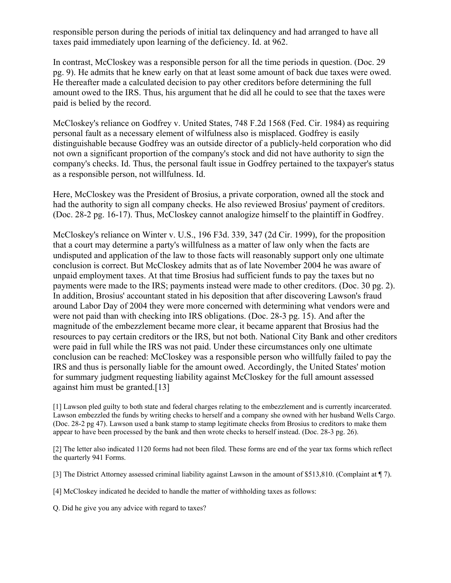responsible person during the periods of initial tax delinquency and had arranged to have all taxes paid immediately upon learning of the deficiency. Id. at 962.

In contrast, McCloskey was a responsible person for all the time periods in question. (Doc. 29 pg. 9). He admits that he knew early on that at least some amount of back due taxes were owed. He thereafter made a calculated decision to pay other creditors before determining the full amount owed to the IRS. Thus, his argument that he did all he could to see that the taxes were paid is belied by the record.

McCloskey's reliance on Godfrey v. United States, 748 F.2d 1568 (Fed. Cir. 1984) as requiring personal fault as a necessary element of wilfulness also is misplaced. Godfrey is easily distinguishable because Godfrey was an outside director of a publicly-held corporation who did not own a significant proportion of the company's stock and did not have authority to sign the company's checks. Id. Thus, the personal fault issue in Godfrey pertained to the taxpayer's status as a responsible person, not willfulness. Id.

Here, McCloskey was the President of Brosius, a private corporation, owned all the stock and had the authority to sign all company checks. He also reviewed Brosius' payment of creditors. (Doc. 28-2 pg. 16-17). Thus, McCloskey cannot analogize himself to the plaintiff in Godfrey.

McCloskey's reliance on Winter v. U.S., 196 F3d. 339, 347 (2d Cir. 1999), for the proposition that a court may determine a party's willfulness as a matter of law only when the facts are undisputed and application of the law to those facts will reasonably support only one ultimate conclusion is correct. But McCloskey admits that as of late November 2004 he was aware of unpaid employment taxes. At that time Brosius had sufficient funds to pay the taxes but no payments were made to the IRS; payments instead were made to other creditors. (Doc. 30 pg. 2). In addition, Brosius' accountant stated in his deposition that after discovering Lawson's fraud around Labor Day of 2004 they were more concerned with determining what vendors were and were not paid than with checking into IRS obligations. (Doc. 28-3 pg. 15). And after the magnitude of the embezzlement became more clear, it became apparent that Brosius had the resources to pay certain creditors or the IRS, but not both. National City Bank and other creditors were paid in full while the IRS was not paid. Under these circumstances only one ultimate conclusion can be reached: McCloskey was a responsible person who willfully failed to pay the IRS and thus is personally liable for the amount owed. Accordingly, the United States' motion for summary judgment requesting liability against McCloskey for the full amount assessed against him must be granted.[13]

[1] Lawson pled guilty to both state and federal charges relating to the embezzlement and is currently incarcerated. Lawson embezzled the funds by writing checks to herself and a company she owned with her husband Wells Cargo. (Doc. 28-2 pg 47). Lawson used a bank stamp to stamp legitimate checks from Brosius to creditors to make them appear to have been processed by the bank and then wrote checks to herself instead. (Doc. 28-3 pg. 26).

[2] The letter also indicated 1120 forms had not been filed. These forms are end of the year tax forms which reflect the quarterly 941 Forms.

[3] The District Attorney assessed criminal liability against Lawson in the amount of \$513,810. (Complaint at ¶ 7).

[4] McCloskey indicated he decided to handle the matter of withholding taxes as follows:

Q. Did he give you any advice with regard to taxes?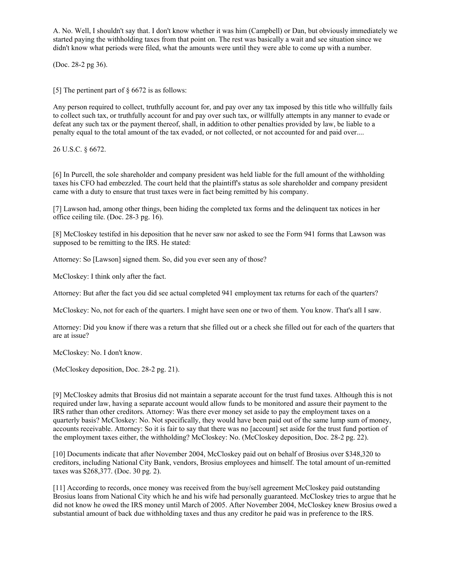A. No. Well, I shouldn't say that. I don't know whether it was him (Campbell) or Dan, but obviously immediately we started paying the withholding taxes from that point on. The rest was basically a wait and see situation since we didn't know what periods were filed, what the amounts were until they were able to come up with a number.

(Doc. 28-2 pg 36).

[5] The pertinent part of § 6672 is as follows:

Any person required to collect, truthfully account for, and pay over any tax imposed by this title who willfully fails to collect such tax, or truthfully account for and pay over such tax, or willfully attempts in any manner to evade or defeat any such tax or the payment thereof, shall, in addition to other penalties provided by law, be liable to a penalty equal to the total amount of the tax evaded, or not collected, or not accounted for and paid over....

26 U.S.C. § 6672.

[6] In Purcell, the sole shareholder and company president was held liable for the full amount of the withholding taxes his CFO had embezzled. The court held that the plaintiff's status as sole shareholder and company president came with a duty to ensure that trust taxes were in fact being remitted by his company.

[7] Lawson had, among other things, been hiding the completed tax forms and the delinquent tax notices in her office ceiling tile. (Doc. 28-3 pg. 16).

[8] McCloskey testifed in his deposition that he never saw nor asked to see the Form 941 forms that Lawson was supposed to be remitting to the IRS. He stated:

Attorney: So [Lawson] signed them. So, did you ever seen any of those?

McCloskey: I think only after the fact.

Attorney: But after the fact you did see actual completed 941 employment tax returns for each of the quarters?

McCloskey: No, not for each of the quarters. I might have seen one or two of them. You know. That's all I saw.

Attorney: Did you know if there was a return that she filled out or a check she filled out for each of the quarters that are at issue?

McCloskey: No. I don't know.

(McCloskey deposition, Doc. 28-2 pg. 21).

[9] McCloskey admits that Brosius did not maintain a separate account for the trust fund taxes. Although this is not required under law, having a separate account would allow funds to be monitored and assure their payment to the IRS rather than other creditors. Attorney: Was there ever money set aside to pay the employment taxes on a quarterly basis? McCloskey: No. Not specifically, they would have been paid out of the same lump sum of money, accounts receivable. Attorney: So it is fair to say that there was no [account] set aside for the trust fund portion of the employment taxes either, the withholding? McCloskey: No. (McCloskey deposition, Doc. 28-2 pg. 22).

[10] Documents indicate that after November 2004, McCloskey paid out on behalf of Brosius over \$348,320 to creditors, including National City Bank, vendors, Brosius employees and himself. The total amount of un-remitted taxes was \$268,377. (Doc. 30 pg. 2).

[11] According to records, once money was received from the buy/sell agreement McCloskey paid outstanding Brosius loans from National City which he and his wife had personally guaranteed. McCloskey tries to argue that he did not know he owed the IRS money until March of 2005. After November 2004, McCloskey knew Brosius owed a substantial amount of back due withholding taxes and thus any creditor he paid was in preference to the IRS.